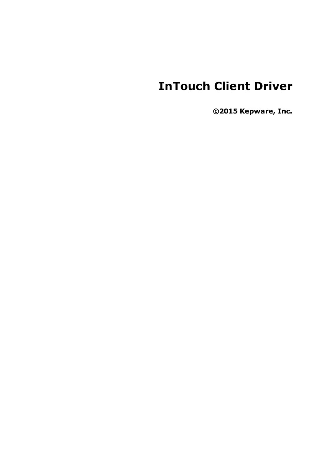# **InTouch Client Driver**

**©2015 Kepware, Inc.**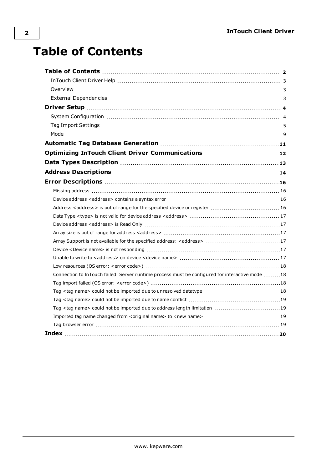# <span id="page-1-0"></span>**Table of Contents**

| Optimizing InTouch Client Driver Communications 12                                              |  |
|-------------------------------------------------------------------------------------------------|--|
|                                                                                                 |  |
|                                                                                                 |  |
|                                                                                                 |  |
|                                                                                                 |  |
|                                                                                                 |  |
| Address <address> is out of range for the specified device or register  16</address>            |  |
|                                                                                                 |  |
|                                                                                                 |  |
|                                                                                                 |  |
|                                                                                                 |  |
|                                                                                                 |  |
|                                                                                                 |  |
|                                                                                                 |  |
| Connection to InTouch failed. Server runtime process must be configured for interactive mode 18 |  |
|                                                                                                 |  |
|                                                                                                 |  |
|                                                                                                 |  |
|                                                                                                 |  |
|                                                                                                 |  |
|                                                                                                 |  |
|                                                                                                 |  |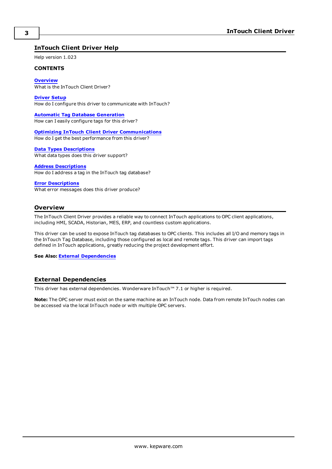### <span id="page-2-0"></span>**InTouch Client Driver Help**

Help version 1.023

#### **CONTENTS**

**[Overview](#page-2-1)** What is the InTouch Client Driver?

**[Driver](#page-3-0) Setup**

How do I configure this driver to communicate with InTouch?

#### **Automatic Tag Database [Generation](#page-10-0)**

How can I easily configure tags for this driver?

#### **Optimizing InTouch Client Driver [Communications](#page-11-0)**

How do I get the best performance from this driver?

#### **Data Types [Descriptions](#page-12-0)**

What data types does this driver support?

#### **Address [Descriptions](#page-13-0)**

How do I address a tag in the InTouch tag database?

#### **Error [Descriptions](#page-15-0)**

What error messages does this driver produce?

#### <span id="page-2-1"></span>**Overview**

The InTouch Client Driver provides a reliable way to connect InTouch applications to OPC client applications, including HMI, SCADA, Historian, MES, ERP, and countless custom applications.

This driver can be used to expose InTouch tag databases to OPC clients. This includes all I/O and memory tags in the InTouch Tag Database, including those configured as local and remote tags. This driver can import tags defined in InTouch applications, greatly reducing the project development effort.

**See Also: External [Dependencies](#page-2-2)**

#### <span id="page-2-2"></span>**External Dependencies**

This driver has external dependencies. Wonderware InTouch™ 7.1 or higher is required.

**Note:** The OPC server must exist on the same machine as an InTouch node. Data from remote InTouch nodes can be accessed via the local InTouch node or with multiple OPC servers.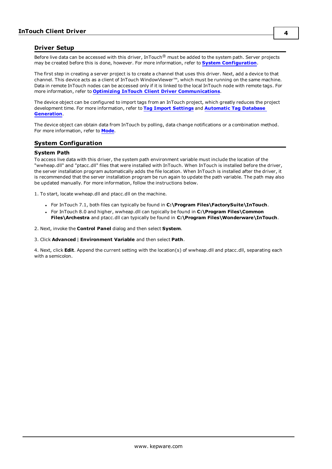### <span id="page-3-0"></span>**Driver Setup**

Before live data can be accessed with this driver, InTouch® must be added to the system path. Server projects may be created before this is done, however. For more information, refer to **System [Configuration](#page-3-1)**.

The first step in creating a server project is to create a channel that uses this driver. Next, add a device to that channel. This device acts as a client of InTouch WindowViewer™, which must be running on the same machine. Data in remote InTouch nodes can be accessed only if it is linked to the local InTouch node with remote tags. For more information, refer to **Optimizing InTouch Client Driver [Communications](#page-11-0)**.

The device object can be configured to import tags from an InTouch project, which greatly reduces the project development time. For more information, refer to **Tag Import [Settings](#page-4-0)** and **[Automatic](#page-10-0) Tag Database [Generation](#page-10-0)**.

The device object can obtain data from InTouch by polling, data change notifications or a combination method. For more information, refer to **[Mode](#page-8-0)**.

### <span id="page-3-2"></span><span id="page-3-1"></span>**System Configuration**

#### **System Path**

To access live data with this driver, the system path environment variable must include the location of the "wwheap.dll" and "ptacc.dll" files that were installed with InTouch. When InTouch is installed before the driver, the server installation program automatically adds the file location. When InTouch is installed after the driver, it is recommended that the server installation program be run again to update the path variable. The path may also be updated manually. For more information, follow the instructions below.

1. To start, locate wwheap.dll and ptacc.dll on the machine.

- <sup>l</sup> For InTouch 7.1, both files can typically be found in **C:\Program Files\FactorySuite\InTouch**.
- <sup>l</sup> For InTouch 8.0 and higher, wwheap.dll can typically be found in **C:\Program Files\Common Files\Archestra** and ptacc.dll can typically be found in **C:\Program Files\Wonderware\InTouch**.

2. Next, invoke the **Control Panel** dialog and then select **System**.

#### 3. Click **Advanced** | **Environment Variable** and then select **Path**.

4. Next, click **Edit**. Append the current setting with the location(s) of wwheap.dll and ptacc.dll, separating each with a semicolon.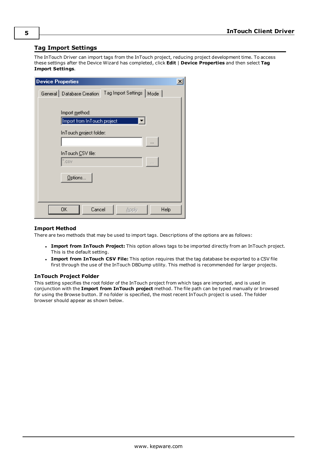#### <span id="page-4-0"></span>**Tag Import Settings**

The InTouch Driver can import tags from the InTouch project, reducing project development time. To access these settings after the Device Wizard has completed, click **Edit** | **Device Properties** and then select **Tag Import Settings**.

| <b>Device Properties</b> |                                                       |                            | $\times$ |
|--------------------------|-------------------------------------------------------|----------------------------|----------|
|                          | General Database Creation                             | Tag Import Settings   Mode |          |
|                          |                                                       |                            |          |
|                          | Import <u>m</u> ethod:<br>Import from InTouch project |                            |          |
|                          | InTouch project folder:                               |                            |          |
|                          |                                                       |                            |          |
|                          | InTouch CSV file:<br>".csv                            |                            |          |
|                          |                                                       |                            |          |
|                          | Options                                               |                            |          |
|                          |                                                       |                            |          |
|                          | 0K<br>Cancel                                          | Help<br>Apply              |          |

#### **Import Method**

There are two methods that may be used to import tags. Descriptions of the options are as follows:

- <sup>l</sup> **Import from InTouch Project:** This option allows tags to be imported directly from an InTouch project. This is the default setting.
- <sup>l</sup> **Import from InTouch CSV File:** This option requires that the tag database be exported to a CSV file first through the use of the InTouch DBDump utility. This method is recommended for larger projects.

#### **InTouch Project Folder**

This setting specifies the root folder of the InTouch project from which tags are imported, and is used in conjunction with the **Import from InTouch project** method. The file path can be typed manually or browsed for using the Browse button. If no folder is specified, the most recent InTouch project is used. The folder browser should appear as shown below.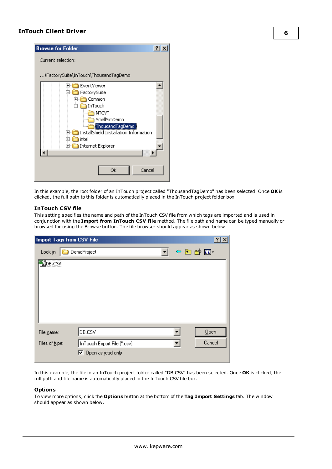

In this example, the root folder of an InTouch project called "ThousandTagDemo" has been selected. Once **OK** is clicked, the full path to this folder is automatically placed in the InTouch project folder box.

#### **InTouch CSV file**

This setting specifies the name and path of the InTouch CSV file from which tags are imported and is used in conjunction with the **Import from InTouch CSV file** method. The file path and name can be typed manually or browsed for using the Browse button. The file browser should appear as shown below.

| Import Tags from CSV File    |                                                                     |  |       | $\overline{\mathbf{?}}$ |  |
|------------------------------|---------------------------------------------------------------------|--|-------|-------------------------|--|
| Look in: $\vert$             | DemoProject                                                         |  | や国首国・ |                         |  |
| DB.CSV                       |                                                                     |  |       |                         |  |
| File name:<br>Files of type: | DB.CSV<br>InTouch Export File (".csv)<br>$\nabla$ Open as read-only |  |       | Qpen<br>Cancel          |  |

In this example, the file in an InTouch project folder called "DB.CSV" has been selected. Once **OK** is clicked, the full path and file name is automatically placed in the InTouch CSV file box.

#### **Options**

To view more options, click the **Options** button at the bottom of the **Tag Import Settings** tab. The window should appear as shown below.

**6**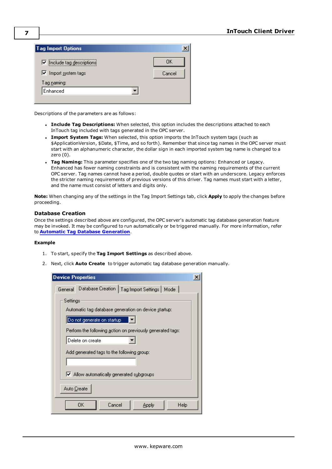| <b>Tag Import Options</b>  |        |
|----------------------------|--------|
| I Include tag descriptions | OΚ     |
| □ Import system tags       | Cancel |
| Tag <u>n</u> aming:        |        |
| Enhanced                   |        |
|                            |        |

Descriptions of the parameters are as follows:

- <sup>l</sup> **Include Tag Descriptions:** When selected, this option includes the descriptions attached to each InTouch tag included with tags generated in the OPC server.
- <sup>l</sup> **Import System Tags:** When selected, this option imports the InTouch system tags (such as \$ApplicationVersion, \$Date, \$Time, and so forth). Remember that since tag names in the OPC server must start with an alphanumeric character, the dollar sign in each imported system tag name is changed to a zero (0).
- <sup>l</sup> **Tag Naming:** This parameter specifies one of the two tag naming options: Enhanced or Legacy. Enhanced has fewer naming constraints and is consistent with the naming requirements of the current OPC server. Tag names cannot have a period, double quotes or start with an underscore. Legacy enforces the stricter naming requirements of previous versions of this driver. Tag names must start with a letter, and the name must consist of letters and digits only.

**Note:** When changing any of the settings in the Tag Import Settings tab, click **Apply** to apply the changes before proceeding.

#### **Database Creation**

Once the settings described above are configured, the OPC server's automatic tag database generation feature may be invoked. It may be configured to run automatically or be triggered manually. For more information, refer to **Automatic Tag Database [Generation](#page-10-0)**.

#### **Example**

- 1. To start, specify the **Tag Import Settings** as described above.
- 2. Next, click **Auto Create** to trigger automatic tag database generation manually.

| <b>Device Properties</b>                                         |  |  |  |  |
|------------------------------------------------------------------|--|--|--|--|
| Database Creation   Tag Import Settings   Mode  <br>General      |  |  |  |  |
| Settings<br>Automatic tag database generation on device startup: |  |  |  |  |
| Do not generate on startup                                       |  |  |  |  |
| Perform the following action on previously generated tags:       |  |  |  |  |
| Delete on create                                                 |  |  |  |  |
| Add generated tags to the following group:                       |  |  |  |  |
| M Allow automatically generated subgroups                        |  |  |  |  |
| Auto Create                                                      |  |  |  |  |
| Cancel<br>OΚ<br>Help<br>Apply                                    |  |  |  |  |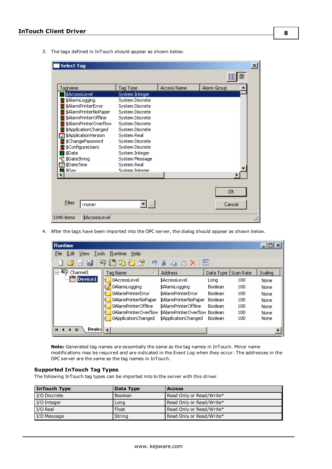3. The tags defined in InTouch should appear as shown below.

|                        |                 |                    |             | Ä |
|------------------------|-----------------|--------------------|-------------|---|
| Tagname                | Tag Type        | <b>Access Name</b> | Alarm Group |   |
| \$AccessLevel          | System Integer  |                    |             |   |
| \$AlarmLogging         | System Discrete |                    |             |   |
| \$AlarmPrinterError    | System Discrete |                    |             |   |
| \$AlarmPrinterNoPaper  | System Discrete |                    |             |   |
| \$AlarmPrinterOffline  | System Discrete |                    |             |   |
| \$AlarmPrinterOverflow | System Discrete |                    |             |   |
| \$ApplicationChanged   | System Discrete |                    |             |   |
| \$ApplicationVersion   | System Real     |                    |             |   |
| \$ChangePassword       | System Discrete |                    |             |   |
|                        | System Discrete |                    |             |   |
| <b>B</b> \$Date        | System Integer  |                    |             |   |
| 显 \$DateString         | System Message  |                    |             |   |
| ≌ \$DateTime           | System Real     |                    |             |   |
| 團 \$Dav                | System Interier |                    |             |   |
|                        |                 |                    |             |   |
|                        |                 |                    |             |   |
|                        |                 |                    | 0K          |   |
|                        |                 |                    |             |   |
| <b>Filter:</b>         |                 |                    |             |   |
| <none></none>          |                 |                    | Cancel      |   |

4. After the tags have been imported into the OPC server, the dialog should appear as shown below.

| <b>Runtime</b>                                    |                           |                                |                       |     | $- \Box $ |
|---------------------------------------------------|---------------------------|--------------------------------|-----------------------|-----|-----------|
| File<br>Edit<br>Tools<br>View                     | Runtime<br>Help           |                                |                       |     |           |
|                                                   | 踏产<br>u)                  |                                | 鸥                     |     |           |
| Channel1<br>Fŀ                                    | Tag Name                  | Address                        | Data Type   Scan Rate |     | Scaling   |
| Device1                                           | 0AccessLevel<br>b.        | \$AccessLevel                  | Long                  | 100 | None      |
|                                                   | 0AlarmLogging             | \$AlarmLogging                 | Boolean               | 100 | None      |
|                                                   | 0AlarmPrinterError        | \$AlarmPrinterError            | <b>Boolean</b>        | 100 | None      |
|                                                   | 0AlarmPrinterNoPaper      | \$AlarmPrinterNoPaper          | Boolean               | 100 | None      |
|                                                   | 0AlarmPrinterOffline      | \$AlarmPrinterOffline          | Boolean               | 100 | None      |
|                                                   | 0AlarmPrinterOverflow     | \$AlarmPrinterOverflow Boolean |                       | 100 | None      |
|                                                   | 0ApplicationChanged<br>o. | \$ApplicationChanged           | Boolean               | 100 | None      |
| Device<br>$\blacksquare$<br>$\blacktriangleright$ |                           |                                |                       |     |           |

**Note:** Generated tag names are essentially the same as the tag names in InTouch. Minor name modifications may be required and are indicated in the Event Log when they occur. The addresses in the OPC server are the same as the tag names in InTouch.

#### **Supported InTouch Tag Types**

The following InTouch tag types can be imported into to the server with this driver.

| InTouch Type | Data Type | <b>Access</b>            |
|--------------|-----------|--------------------------|
| I/O Discrete | 'Boolean  | Read Only or Read/Write* |
| I/O Integer  | Long      | Read Only or Read/Write* |
| l I/O Real   | Float     | Read Only or Read/Write* |
| I/O Message  | String    | Read Only or Read/Write* |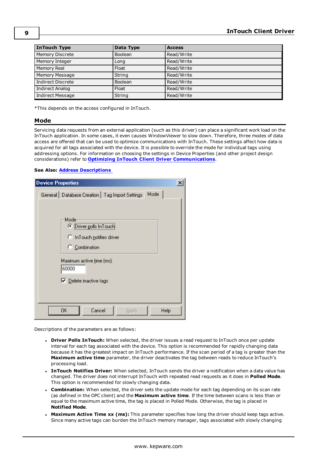| <b>InTouch Type</b>      | Data Type      | <b>Access</b> |
|--------------------------|----------------|---------------|
| <b>Memory Discrete</b>   | Boolean        | Read/Write    |
| Memory Integer           | Long           | Read/Write    |
| Memory Real              | Float          | Read/Write    |
| Memory Message           | String         | Read/Write    |
| <b>Indirect Discrete</b> | <b>Boolean</b> | Read/Write    |
| <b>Indirect Analog</b>   | Float          | Read/Write    |
| Indirect Message         | String         | Read/Write    |

<span id="page-8-0"></span>\*This depends on the access configured in InTouch.

#### **Mode**

Servicing data requests from an external application (such as this driver) can place a significant work load on the InTouch application. In some cases, it even causes WindowViewer to slow down. Therefore, three modes of data access are offered that can be used to optimize communications with InTouch. These settings affect how data is acquired for all tags associated with the device. It is possible to override the mode for individual tags using addressing options. For information on choosing the settings in Device Properties (and other project design considerations) refer to **Optimizing InTouch Client Driver [Communications](#page-11-0)**.

#### **See Also: Address [Descriptions](#page-13-0)**

| <b>Device Properties</b>                                                     |  |
|------------------------------------------------------------------------------|--|
| Mode<br>General   Database Creation   Tag Import Settings                    |  |
| Mode<br>C Driver polls InTouch<br>C InTouch notifies driver<br>C Combination |  |
| Maximum active time (ms):<br>60000<br>$\nabla$ Delete inactive tags          |  |
| Cancel<br>OΚ<br>Help<br>Apply                                                |  |

Descriptions of the parameters are as follows:

- <sup>l</sup> **Driver Polls InTouch:** When selected, the driver issues a read request to InTouch once per update interval for each tag associated with the device. This option is recommended for rapidly changing data because it has the greatest impact on InTouch performance. If the scan period of a tag is greater than the **Maximum active time** parameter, the driver deactivates the tag between reads to reduce InTouch's processing load.
- <sup>l</sup> **InTouch Notifies Driver:** When selected, InTouch sends the driver a notification when a data value has changed. The driver does not interrupt InTouch with repeated read requests as it does in **Polled Mode**. This option is recommended for slowly changing data.
- **Combination:** When selected, the driver sets the update mode for each tag depending on its scan rate (as defined in the OPC client) and the **Maximum active time**. If the time between scans is less than or equal to the maximum active time, the tag is placed in Polled Mode. Otherwise, the tag is placed in **Notified Mode**.
- <sup>l</sup> **Maximum Active Time xx (ms):** This parameter specifies how long the driver should keep tags active. Since many active tags can burden the InTouch memory manager, tags associated with slowly changing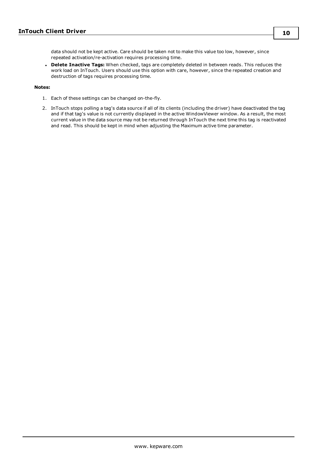data should not be kept active. Care should be taken not to make this value too low, however, since repeated activation/re-activation requires processing time.

<sup>l</sup> **Delete Inactive Tags:** When checked, tags are completely deleted in between reads. This reduces the work load on InTouch. Users should use this option with care, however, since the repeated creation and destruction of tags requires processing time.

#### **Notes:**

- 1. Each of these settings can be changed on-the-fly.
- 2. InTouch stops polling a tag's data source if all of its clients (including the driver) have deactivated the tag and if that tag's value is not currently displayed in the active WindowViewer window. As a result, the most current value in the data source may not be returned through InTouch the next time this tag is reactivated and read. This should be kept in mind when adjusting the Maximum active time parameter.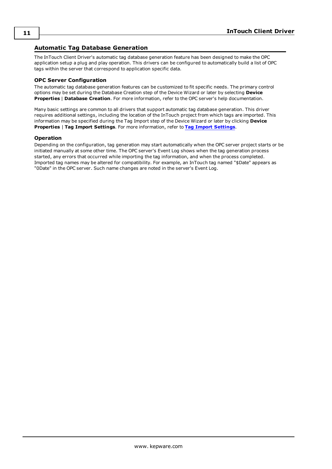### <span id="page-10-0"></span>**Automatic Tag Database Generation**

The InTouch Client Driver's automatic tag database generation feature has been designed to make the OPC application setup a plug and play operation. This drivers can be configured to automatically build a list of OPC tags within the server that correspond to application specific data.

#### **OPC Server Configuration**

The automatic tag database generation features can be customized to fit specific needs. The primary control options may be set during the Database Creation step of the Device Wizard or later by selecting **Device Properties** | **Database Creation**. For more information, refer to the OPC server's help documentation.

Many basic settings are common to all drivers that support automatic tag database generation. This driver requires additional settings, including the location of the InTouch project from which tags are imported. This information may be specified during the Tag Import step of the Device Wizard or later by clicking **Device Properties** | **Tag Import Settings**. For more information, refer to **Tag Import [Settings](#page-4-0)**.

#### **Operation**

Depending on the configuration, tag generation may start automatically when the OPC server project starts or be initiated manually at some other time. The OPC server's Event Log shows when the tag generation process started, any errors that occurred while importing the tag information, and when the process completed. Imported tag names may be altered for compatibility. For example, an InTouch tag named "\$Date" appears as "0Date" in the OPC server. Such name changes are noted in the server's Event Log.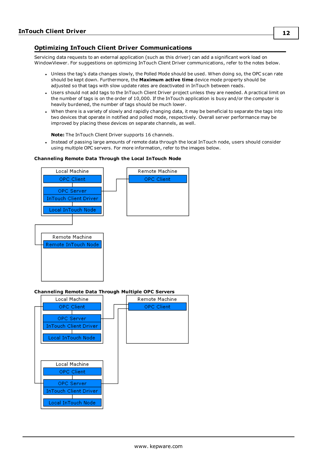### <span id="page-11-0"></span>**Optimizing InTouch Client Driver Communications**

Servicing data requests to an external application (such as this driver) can add a significant work load on WindowViewer. For suggestions on optimizing InTouch Client Driver communications, refer to the notes below.

- Unless the tag's data changes slowly, the Polled Mode should be used. When doing so, the OPC scan rate should be kept down. Furthermore, the **Maximum active time** device mode property should be adjusted so that tags with slow update rates are deactivated in InTouch between reads.
- <sup>l</sup> Users should not add tags to the InTouch Client Driver project unless they are needed. A practical limit on the number of tags is on the order of 10,000. If the InTouch application is busy and/or the computer is heavily burdened, the number of tags should be much lower.
- When there is a variety of slowly and rapidly changing data, it may be beneficial to separate the tags into two devices that operate in notified and polled mode, respectively. Overall server performance may be improved by placing these devices on separate channels, as well.

**Note:** The InTouch Client Driver supports 16 channels.

• Instead of passing large amounts of remote data through the local InTouch node, users should consider using multiple OPC servers. For more information, refer to the images below.

#### **Channeling Remote Data Through the Local InTouch Node**



#### **Channeling Remote Data Through Multiple OPC Servers**

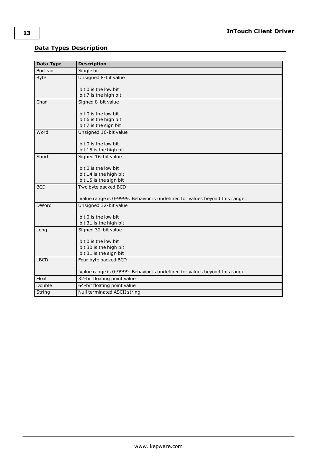# <span id="page-12-0"></span>**Data Types Description**

<span id="page-12-9"></span><span id="page-12-8"></span><span id="page-12-7"></span><span id="page-12-6"></span><span id="page-12-5"></span><span id="page-12-4"></span><span id="page-12-3"></span><span id="page-12-2"></span><span id="page-12-1"></span>

| <b>Data Type</b> | <b>Description</b>                                                         |
|------------------|----------------------------------------------------------------------------|
| Boolean          | Single bit                                                                 |
| Byte             | Unsigned 8-bit value                                                       |
|                  |                                                                            |
|                  | bit 0 is the low bit                                                       |
|                  | bit 7 is the high bit                                                      |
| Char             | Signed 8-bit value                                                         |
|                  | bit 0 is the low bit                                                       |
|                  | bit 6 is the high bit                                                      |
|                  | bit 7 is the sign bit                                                      |
| Word             | Unsigned 16-bit value                                                      |
|                  |                                                                            |
|                  | bit 0 is the low bit                                                       |
| Short            | bit 15 is the high bit                                                     |
|                  | Signed 16-bit value                                                        |
|                  | bit 0 is the low bit                                                       |
|                  | bit 14 is the high bit                                                     |
|                  | bit 15 is the sign bit                                                     |
| <b>BCD</b>       | Two byte packed BCD                                                        |
|                  |                                                                            |
|                  | Value range is 0-9999. Behavior is undefined for values beyond this range. |
| <b>DWord</b>     | Unsigned 32-bit value                                                      |
|                  | bit 0 is the low bit                                                       |
|                  | bit 31 is the high bit                                                     |
| Long             | Signed 32-bit value                                                        |
|                  |                                                                            |
|                  | bit 0 is the low bit                                                       |
|                  | bit 30 is the high bit                                                     |
|                  | bit 31 is the sign bit                                                     |
| <b>LBCD</b>      | Four byte packed BCD                                                       |
|                  | Value range is 0-9999. Behavior is undefined for values beyond this range. |
| Float            | 32-bit floating point value                                                |
| Double           | 64-bit floating point value                                                |
| String           | Null terminated ASCII string                                               |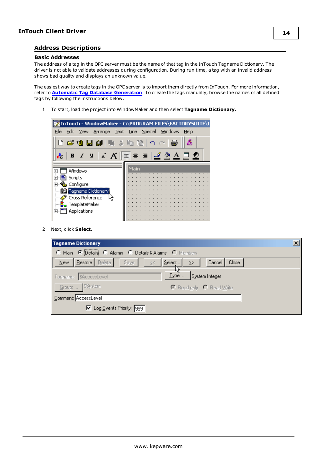#### <span id="page-13-0"></span>**Address Descriptions**

#### **Basic Addresses**

The address of a tag in the OPC server must be the name of that tag in the InTouch Tagname Dictionary. The driver is not able to validate addresses during configuration. During run time, a tag with an invalid address shows bad quality and displays an unknown value.

The easiest way to create tags in the OPC server is to import them directly from InTouch. For more information, refer to **Automatic Tag Database [Generation](#page-10-0)**. To create the tags manually, browse the names of all defined tags by following the instructions below.

1. To start, load the project into WindowMaker and then select **Tagname Dictionary**.



2. Next, click **Select**.

| <b>Tagname Dictionary</b>                                        |                          |
|------------------------------------------------------------------|--------------------------|
| C Main C Details C Alarms C Details & Alarms C Members           |                          |
| $N$ ew   Restore   Delete  <br>$\leq$   Select<br>Saye<br>$\geq$ | Cancel<br>Close          |
| $I$ ype:<br>Tagname: \$AccessLevel                               | System Integer           |
| Group:  \$System                                                 | C Read only C Read Write |
| Comment: AccessLevel                                             |                          |
| □ Log Events Priority: 999                                       |                          |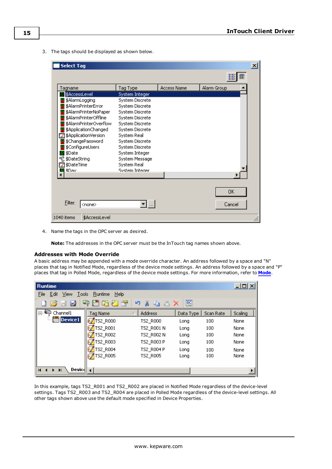3. The tags should be displayed as shown below.

| <b>Select Tag</b>               |                 |                    |             | $\mathbf{x}$ |
|---------------------------------|-----------------|--------------------|-------------|--------------|
|                                 |                 |                    | 齰           |              |
| Tagname                         | Tag Type        | <b>Access Name</b> | Alarm Group |              |
| \$AccessLevel                   | System Integer  |                    |             |              |
| \$AlarmLogging                  | System Discrete |                    |             |              |
| \$AlarmPrinterError             | System Discrete |                    |             |              |
| \$AlarmPrinterNoPaper           | System Discrete |                    |             |              |
| \$AlarmPrinterOffline           | System Discrete |                    |             |              |
| \$AlarmPrinterOverflow          | System Discrete |                    |             |              |
| \$ApplicationChanged            | System Discrete |                    |             |              |
| ■ \$ApplicationVersion          | System Real     |                    |             |              |
| \$ChangePassword                | System Discrete |                    |             |              |
| \$ConfigureUsers                | System Discrete |                    |             |              |
| \$Date<br>8                     | System Integer  |                    |             |              |
| YL \$DateString                 | System Message  |                    |             |              |
| ≌ \$DateTime                    | System Real     |                    |             |              |
| <b>\$Dav</b>                    | System Interier |                    |             |              |
|                                 |                 |                    |             |              |
|                                 |                 |                    |             |              |
|                                 |                 |                    | 0K          |              |
|                                 |                 |                    |             |              |
| <b>Filter:</b><br><none></none> |                 |                    | Cancel      |              |
|                                 |                 |                    |             |              |
| 1040 items<br>\$AccessLevel     |                 |                    |             |              |

4. Name the tags in the OPC server as desired.

**Note:** The addresses in the OPC server must be the InTouch tag names shown above.

#### **Addresses with Mode Override**

A basic address may be appended with a mode override character. An address followed by a space and "N" places that tag in Notified Mode, regardless of the device mode settings. An address followed by a space and "P" places that tag in Polled Mode, regardless of the device mode settings. For more information, refer to **[Mode](#page-8-0)**.

| <b>Runtime</b>                                                                             |                        |                |           |           | <u>니미지</u> |  |  |  |  |
|--------------------------------------------------------------------------------------------|------------------------|----------------|-----------|-----------|------------|--|--|--|--|
| View<br>File<br>Tools<br>Edit                                                              | <b>Runtime</b><br>Help |                |           |           |            |  |  |  |  |
| <b>DC</b><br>中面的红色<br>۱η<br>- 2<br>$\overline{a}$<br>Ж<br><b>R</b> B X<br>Ы<br><b>WITH</b> |                        |                |           |           |            |  |  |  |  |
| □→ Channel1                                                                                | Tag Name               | <b>Address</b> | Data Type | Scan Rate | Scaling    |  |  |  |  |
| <b>Device1</b>                                                                             | TS2_R000               | TS2 R000       | Long      | 100       | None       |  |  |  |  |
|                                                                                            | TS2_R001               | TS2_R001 N     | Long      | 100       | None       |  |  |  |  |
|                                                                                            | TS2_R002               | TS2_R002 N     | Long      | 100       | None       |  |  |  |  |
|                                                                                            | TS2_R003               | TS2 R003 P     | Long      | 100       | None       |  |  |  |  |
|                                                                                            | TS2_R004               | TS2 R004 P     | Long      | 100       | None       |  |  |  |  |
|                                                                                            | <b>TS2_R005</b>        | TS2 R005       | Long      | 100       | None       |  |  |  |  |
|                                                                                            |                        |                |           |           |            |  |  |  |  |
| Device<br>$\blacksquare$<br>$\blacktriangleright$<br>▶                                     |                        |                |           |           |            |  |  |  |  |

In this example, tags TS2\_R001 and TS2\_R002 are placed in Notified Mode regardless of the device-level settings. Tags TS2\_R003 and TS2\_R004 are placed in Polled Mode regardless of the device-level settings. All other tags shown above use the default mode specified in Device Properties.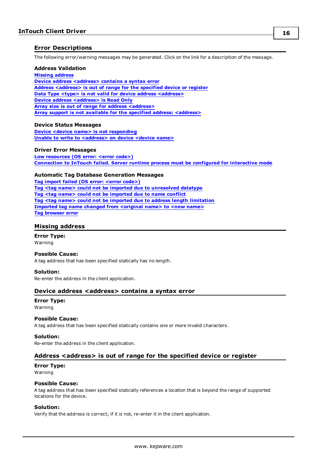#### <span id="page-15-0"></span>**Error Descriptions**

The following error/warning messages may be generated. Click on the link for a description of the message.

#### **Address Validation**

**Missing [address](#page-15-1) Device address [<address>](#page-15-2)** contains a syntax error **Address [<address>](#page-15-3) is out of range for the specified device or register Data Type <type> is not valid for device address [<address>](#page-16-0) Device address [<address>](#page-16-1)** is Read Only **Array size is out of range for address [<address>](#page-16-2) Array support is not available for the specified address: [<address>](#page-16-3)**

#### **Device Status Messages**

**Device <device name> is not [responding](#page-16-4) Unable to write to [<address>](#page-16-5) on device <device name>**

#### **Driver Error Messages**

**Low [resources](#page-17-0) (OS error: <error code>) [Connection](#page-17-1) to InTouch failed. Server runtime process must be configured for interactive mode**

#### **Automatic Tag Database Generation Messages**

**Tag import failed (OS error: <error [code>\)](#page-17-2) Tag <tag name> could not be imported due to [unresolved](#page-17-3) datatype Tag <tag name> could not be [imported](#page-18-0) due to name conflict Tag <tag name> could not be imported due to address length [limitation](#page-18-1) [Imported](#page-18-2) tag name changed from <original name> to <new name> Tag [browser](#page-18-3) error**

#### <span id="page-15-1"></span>**Missing address**

**Error Type:** Warning

#### **Possible Cause:**

A tag address that has been specified statically has no length.

#### **Solution:**

<span id="page-15-2"></span>Re-enter the address in the client application.

#### **Device address <address>** contains a syntax error

#### **Error Type:**

Warning

#### **Possible Cause:**

A tag address that has been specified statically contains one or more invalid characters.

#### **Solution:**

<span id="page-15-3"></span>Re-enter the address in the client application.

#### **Address <address> is out of range for the specified device or register**

#### **Error Type:** Warning

#### **Possible Cause:**

A tag address that has been specified statically references a location that is beyond the range of supported locations for the device.

#### **Solution:**

Verify that the address is correct; if it is not, re-enter it in the client application.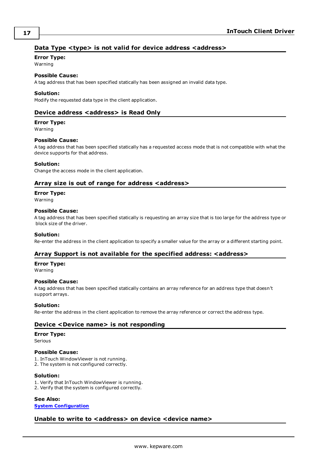### <span id="page-16-0"></span>**Data Type <type> is not valid for device address <address>**

### **Error Type:**

Warning

# **Possible Cause:**

A tag address that has been specified statically has been assigned an invalid data type.

#### **Solution:**

<span id="page-16-1"></span>Modify the requested data type in the client application.

#### **Device address <address> is Read Only**

#### **Error Type:**

Warning

#### **Possible Cause:**

A tag address that has been specified statically has a requested access mode that is not compatible with what the device supports for that address.

#### **Solution:**

<span id="page-16-2"></span>Change the access mode in the client application.

#### **Array size is out of range for address <address>**

#### **Error Type:**

Warning

#### **Possible Cause:**

A tag address that has been specified statically is requesting an array size that is too large for the address type or block size of the driver.

#### **Solution:**

<span id="page-16-3"></span>Re-enter the address in the client application to specify a smaller value for the array or a different starting point.

#### **Array Support is not available for the specified address: <address>**

## **Error Type:**

Warning

#### **Possible Cause:**

A tag address that has been specified statically contains an array reference for an address type that doesn't support arrays.

#### **Solution:**

<span id="page-16-4"></span>Re-enter the address in the client application to remove the array reference or correct the address type.

#### **Device <Device name> is not responding**

#### **Error Type:**

Serious

#### **Possible Cause:**

1. InTouch WindowViewer is not running.

2. The system is not configured correctly.

#### **Solution:**

- 1. Verify that InTouch WindowViewer is running.
- 2. Verify that the system is configured correctly.

### **See Also:**

<span id="page-16-5"></span>**System [Configuration](#page-3-1)**

#### **Unable to write to <address> on device <device name>**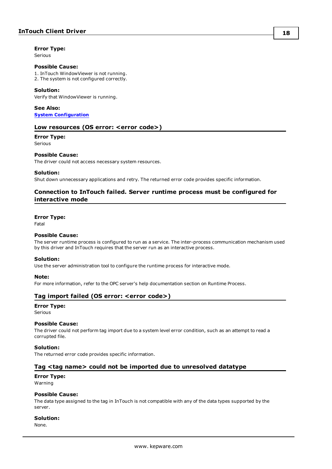#### **Error Type:**

Serious

#### **Possible Cause:**

1. InTouch WindowViewer is not running. 2. The system is not configured correctly.

#### **Solution:**

Verify that WindowViewer is running.

**See Also: System [Configuration](#page-3-1)**

#### <span id="page-17-0"></span>**Low resources (OS error: <error code>)**

#### **Error Type:**

Serious

#### **Possible Cause:**

The driver could not access necessary system resources.

#### **Solution:**

<span id="page-17-1"></span>Shut down unnecessary applications and retry. The returned error code provides specific information.

#### **Connection to InTouch failed. Server runtime process must be configured for interactive mode**

#### **Error Type:**

Fatal

#### **Possible Cause:**

The server runtime process is configured to run as a service. The inter-process communication mechanism used by this driver and InTouch requires that the server run as an interactive process.

#### **Solution:**

Use the server administration tool to configure the runtime process for interactive mode.

#### **Note:**

<span id="page-17-2"></span>For more information, refer to the OPC server's help documentation section on Runtime Process.

#### **Tag import failed (OS error: <error code>)**

#### **Error Type:**

Serious

#### **Possible Cause:**

The driver could not perform tag import due to a system level error condition, such as an attempt to read a corrupted file.

#### **Solution:**

<span id="page-17-3"></span>The returned error code provides specific information.

#### **Tag <tag name> could not be imported due to unresolved datatype**

#### **Error Type:**

Warning

#### **Possible Cause:**

The data type assigned to the tag in InTouch is not compatible with any of the data types supported by the server.

#### **Solution:**

None.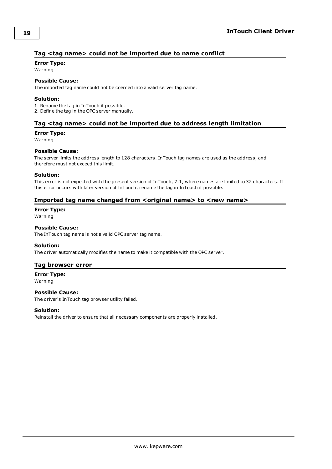### <span id="page-18-0"></span>**Tag <tag name> could not be imported due to name conflict**

#### **Error Type:**

Warning

#### **Possible Cause:**

The imported tag name could not be coerced into a valid server tag name.

#### **Solution:**

1. Rename the tag in InTouch if possible.

<span id="page-18-1"></span>2. Define the tag in the OPC server manually.

#### **Tag <tag name> could not be imported due to address length limitation**

#### **Error Type:**

Warning

#### **Possible Cause:**

The server limits the address length to 128 characters. InTouch tag names are used as the address, and therefore must not exceed this limit.

#### **Solution:**

This error is not expected with the present version of InTouch, 7.1, where names are limited to 32 characters. If this error occurs with later version of InTouch, rename the tag in InTouch if possible.

#### <span id="page-18-2"></span>**Imported tag name changed from <original name> to <new name>**

**Error Type:**

Warning

#### **Possible Cause:**

The InTouch tag name is not a valid OPC server tag name.

#### **Solution:**

<span id="page-18-3"></span>The driver automatically modifies the name to make it compatible with the OPC server.

#### **Tag browser error**

**Error Type:**

Warning

#### **Possible Cause:**

The driver's InTouch tag browser utility failed.

#### **Solution:**

Reinstall the driver to ensure that all necessary components are properly installed.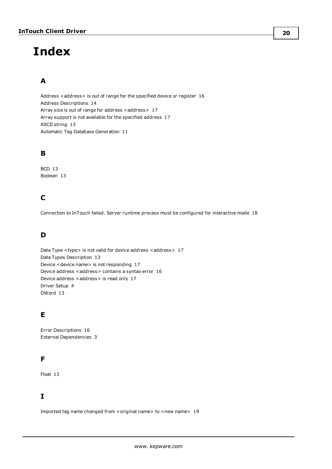# <span id="page-19-0"></span>**Index**

# **A**

Address <address> is out of range for the specified device or register [16](#page-15-3) Address Descriptions [14](#page-13-0) Array size is out of range for address <address> [17](#page-16-2) Array support is not available for the specified address [17](#page-16-3) ASCII string [13](#page-12-1) Automatic Tag Database Generation [11](#page-10-0)

### **B**

BCD [13](#page-12-2) Boolean [13](#page-12-3)

# **C**

Connection to InTouch failed. Server runtime process must be configured for interactive mode [18](#page-17-1)

# **D**

Data Type <type> is not valid for device address <address> [17](#page-16-0) Data Types Description [13](#page-12-0) Device <device name> is not responding [17](#page-16-4) Device address <address> contains a syntax error [16](#page-15-2) Device address <address> is read only [17](#page-16-1) Driver Setup [4](#page-3-0) DWord [13](#page-12-4)

# **E**

Error Descriptions [16](#page-15-0) External Dependencies [3](#page-2-2)

## **F**

Float [13](#page-12-5)

## **I**

Imported tag name changed from <original name> to <new name> [19](#page-18-2)